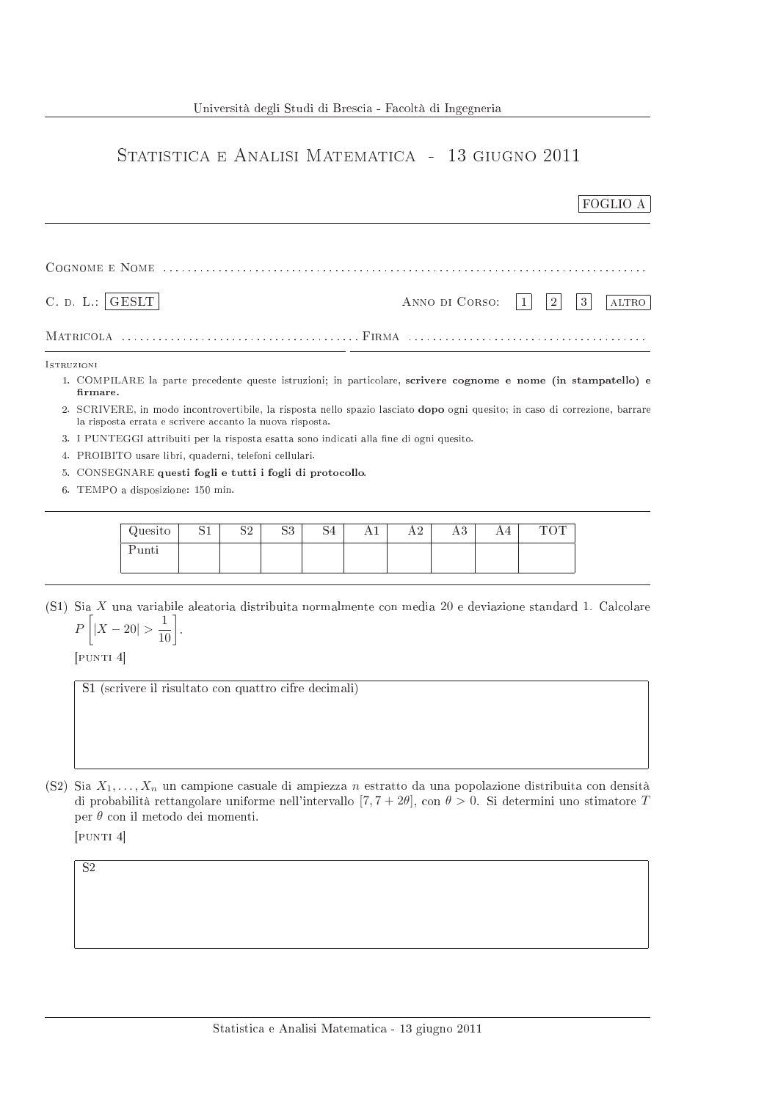## STATISTICA E ANALISI MATEMATICA - 13 GIUGNO 2011

|                   |                                                                                          |    |    |    |    |    |                                                |    |    |            | FOGLIO A                                                                                                                    |  |
|-------------------|------------------------------------------------------------------------------------------|----|----|----|----|----|------------------------------------------------|----|----|------------|-----------------------------------------------------------------------------------------------------------------------------|--|
|                   |                                                                                          |    |    |    |    |    |                                                |    |    |            |                                                                                                                             |  |
| C. D. L.:   GEST  |                                                                                          |    |    |    |    |    | ANNO DI CORSO:<br>3<br>$\overline{2}$<br>ALTRO |    |    |            |                                                                                                                             |  |
|                   |                                                                                          |    |    |    |    |    |                                                |    |    |            |                                                                                                                             |  |
| <b>ISTRUZIONI</b> |                                                                                          |    |    |    |    |    |                                                |    |    |            |                                                                                                                             |  |
| firmare.          |                                                                                          |    |    |    |    |    |                                                |    |    |            | 1. COMPILARE la parte precedente queste istruzioni; in particolare, scrivere cognome e nome (in stampatello) e              |  |
|                   | la risposta errata e scrivere accanto la nuova risposta.                                 |    |    |    |    |    |                                                |    |    |            | 2. SCRIVERE, in modo incontrovertibile, la risposta nello spazio lasciato dopo ogni quesito; in caso di correzione, barrare |  |
|                   | 3. I PUNTEGGI attribuiti per la risposta esatta sono indicati alla fine di ogni quesito. |    |    |    |    |    |                                                |    |    |            |                                                                                                                             |  |
|                   | 4. PROIBITO usare libri, quaderni, telefoni cellulari.                                   |    |    |    |    |    |                                                |    |    |            |                                                                                                                             |  |
| 5.                | CONSEGNARE questi fogli e tutti i fogli di protocollo.                                   |    |    |    |    |    |                                                |    |    |            |                                                                                                                             |  |
|                   | 6. TEMPO a disposizione: 150 min.                                                        |    |    |    |    |    |                                                |    |    |            |                                                                                                                             |  |
|                   |                                                                                          |    |    |    |    |    |                                                |    |    |            |                                                                                                                             |  |
|                   | Quesito                                                                                  | S1 | S2 | S3 | S4 | A1 | A <sub>2</sub>                                 | A3 | A4 | <b>TOT</b> |                                                                                                                             |  |
|                   | Punti                                                                                    |    |    |    |    |    |                                                |    |    |            |                                                                                                                             |  |
|                   |                                                                                          |    |    |    |    |    |                                                |    |    |            |                                                                                                                             |  |

(S1) Sia  $X$  una variabile aleatoria distribuita normalmente con media 20 e deviazione standard 1. Calcolare  $P\left[|X-20| > \frac{1}{10}\right].$ 

 $[$ PUNTI $4]$ 

S1 (scrivere il risultato con quattro cifre decimali)

(S2) Sia  $X_1, \ldots, X_n$  un campione casuale di ampiezza n estratto da una popolazione distribuita con densità di probabilità rettangolare uniforme nell'intervallo [7,7 + 2 $\theta$ ], con  $\theta > 0$ . Si determini uno stimatore T per  $\theta$  con il metodo dei momenti.

 $[$ PUNTI $4]$ 

 $\overline{S2}$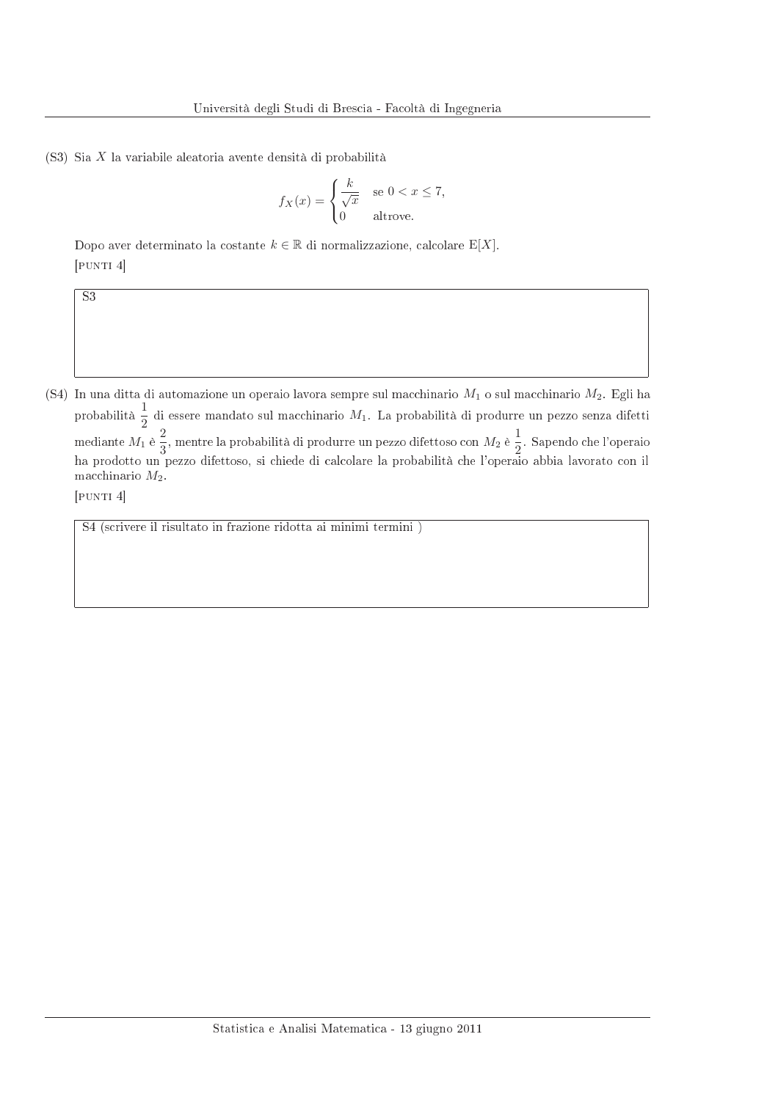(S3) Sia X la variabile aleatoria avente densità di probabilità

$$
f_X(x) = \begin{cases} \frac{k}{\sqrt{x}} & \text{se } 0 < x \le 7\\ 0 & \text{altrove.} \end{cases}
$$

Dopo aver determinato la costante  $k \in \mathbb{R}$  di normalizzazione, calcolare E[X].  $[$ PUNTI $4]$ 

(S4) In una ditta di automazione un operaio lavora sempre sul macchinario  $M_1$  o sul macchinario  $M_2$ . Egli ha probabilità  $\frac{1}{2}$  di essere mandato sul macchinario  $M_1$ . La probabilità di produrre un pezzo senza difetti<br>mediante  $M_1$  è  $\frac{2}{3}$ , mentre la probabilità di produrre un pezzo difettoso con  $M_2$  è  $\frac{1}{2}$ . Sape macchinario  $M_2$ .

[PUNTI 4]

 $\overline{S3}$ 

S4 (scrivere il risultato in frazione ridotta ai minimi termini)